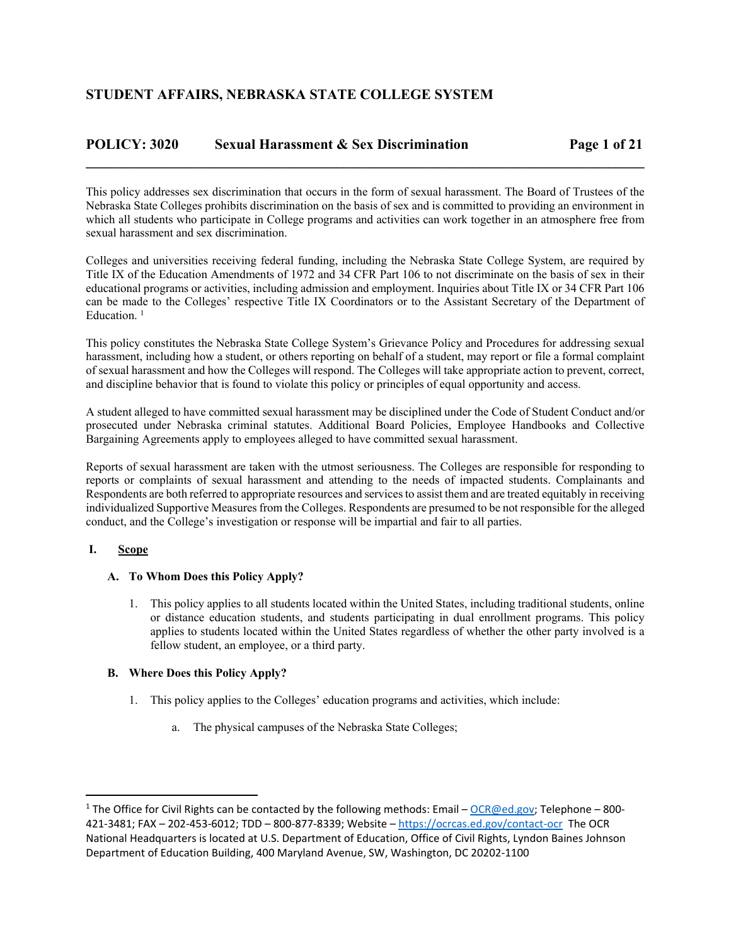## **POLICY: 3020 Sexual Harassment & Sex Discrimination Page 1 of 21**

This policy addresses sex discrimination that occurs in the form of sexual harassment. The Board of Trustees of the Nebraska State Colleges prohibits discrimination on the basis of sex and is committed to providing an environment in which all students who participate in College programs and activities can work together in an atmosphere free from sexual harassment and sex discrimination.

**\_\_\_\_\_\_\_\_\_\_\_\_\_\_\_\_\_\_\_\_\_\_\_\_\_\_\_\_\_\_\_\_\_\_\_\_\_\_\_\_\_\_\_\_\_\_\_\_\_\_\_\_\_\_\_\_\_\_\_\_\_\_\_\_\_\_\_\_\_\_\_\_\_\_\_\_\_\_** 

Colleges and universities receiving federal funding, including the Nebraska State College System, are required by Title IX of the Education Amendments of 1972 and 34 CFR Part 106 to not discriminate on the basis of sex in their educational programs or activities, including admission and employment. Inquiries about Title IX or 34 CFR Part 106 can be made to the Colleges' respective Title IX Coordinators or to the Assistant Secretary of the Department of Education.<sup>1</sup>

This policy constitutes the Nebraska State College System's Grievance Policy and Procedures for addressing sexual harassment, including how a student, or others reporting on behalf of a student, may report or file a formal complaint of sexual harassment and how the Colleges will respond. The Colleges will take appropriate action to prevent, correct, and discipline behavior that is found to violate this policy or principles of equal opportunity and access.

A student alleged to have committed sexual harassment may be disciplined under the Code of Student Conduct and/or prosecuted under Nebraska criminal statutes. Additional Board Policies, Employee Handbooks and Collective Bargaining Agreements apply to employees alleged to have committed sexual harassment.

Reports of sexual harassment are taken with the utmost seriousness. The Colleges are responsible for responding to reports or complaints of sexual harassment and attending to the needs of impacted students. Complainants and Respondents are both referred to appropriate resources and services to assist them and are treated equitably in receiving individualized Supportive Measures from the Colleges. Respondents are presumed to be not responsible for the alleged conduct, and the College's investigation or response will be impartial and fair to all parties.

## **I. Scope**

## **A. To Whom Does this Policy Apply?**

1. This policy applies to all students located within the United States, including traditional students, online or distance education students, and students participating in dual enrollment programs. This policy applies to students located within the United States regardless of whether the other party involved is a fellow student, an employee, or a third party.

## **B. Where Does this Policy Apply?**

- 1. This policy applies to the Colleges' education programs and activities, which include:
	- a. The physical campuses of the Nebraska State Colleges;

<sup>&</sup>lt;sup>1</sup> The Office for Civil Rights can be contacted by the following methods: Email – OCR@ed.gov; Telephone – 800-421‐3481; FAX – 202‐453‐6012; TDD – 800‐877‐8339; Website – https://ocrcas.ed.gov/contact‐ocr The OCR National Headquarters is located at U.S. Department of Education, Office of Civil Rights, Lyndon Baines Johnson Department of Education Building, 400 Maryland Avenue, SW, Washington, DC 20202‐1100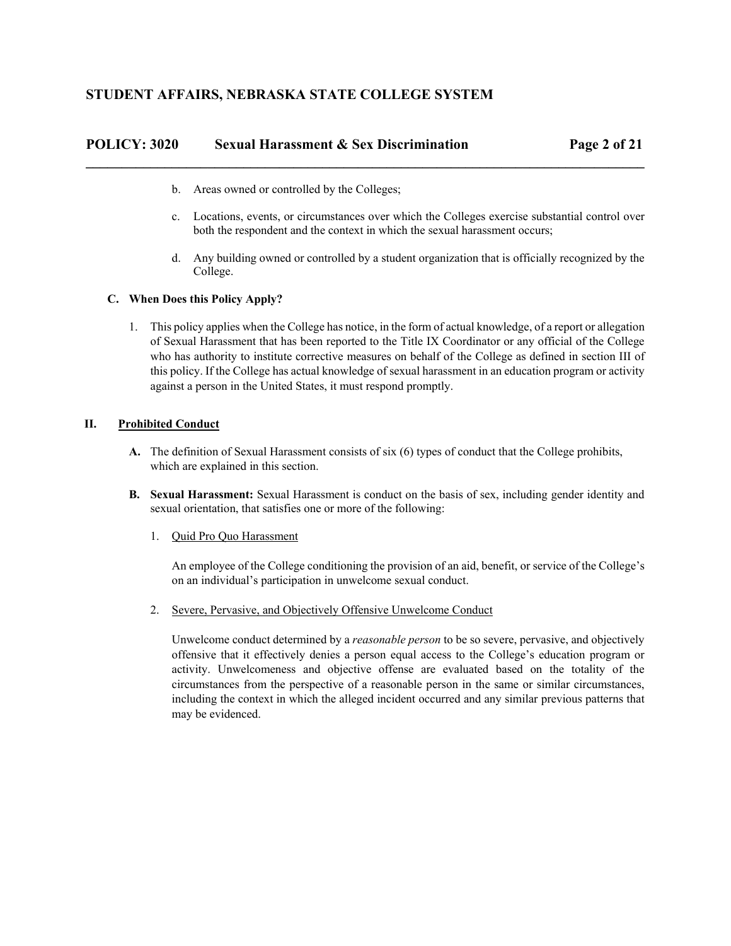| POLICY: 3020 | <b>Sexual Harassment &amp; Sex Discrimination</b> | Page 2 of 21 |
|--------------|---------------------------------------------------|--------------|
|              |                                                   |              |

- b. Areas owned or controlled by the Colleges;
- c. Locations, events, or circumstances over which the Colleges exercise substantial control over both the respondent and the context in which the sexual harassment occurs;
- d. Any building owned or controlled by a student organization that is officially recognized by the College.

## **C. When Does this Policy Apply?**

1. This policy applies when the College has notice, in the form of actual knowledge, of a report or allegation of Sexual Harassment that has been reported to the Title IX Coordinator or any official of the College who has authority to institute corrective measures on behalf of the College as defined in section III of this policy. If the College has actual knowledge of sexual harassment in an education program or activity against a person in the United States, it must respond promptly.

## **II. Prohibited Conduct**

- **A.** The definition of Sexual Harassment consists of six (6) types of conduct that the College prohibits, which are explained in this section.
- **B. Sexual Harassment:** Sexual Harassment is conduct on the basis of sex, including gender identity and sexual orientation, that satisfies one or more of the following:
	- 1. Quid Pro Quo Harassment

An employee of the College conditioning the provision of an aid, benefit, or service of the College's on an individual's participation in unwelcome sexual conduct.

2. Severe, Pervasive, and Objectively Offensive Unwelcome Conduct

Unwelcome conduct determined by a *reasonable person* to be so severe, pervasive, and objectively offensive that it effectively denies a person equal access to the College's education program or activity. Unwelcomeness and objective offense are evaluated based on the totality of the circumstances from the perspective of a reasonable person in the same or similar circumstances, including the context in which the alleged incident occurred and any similar previous patterns that may be evidenced.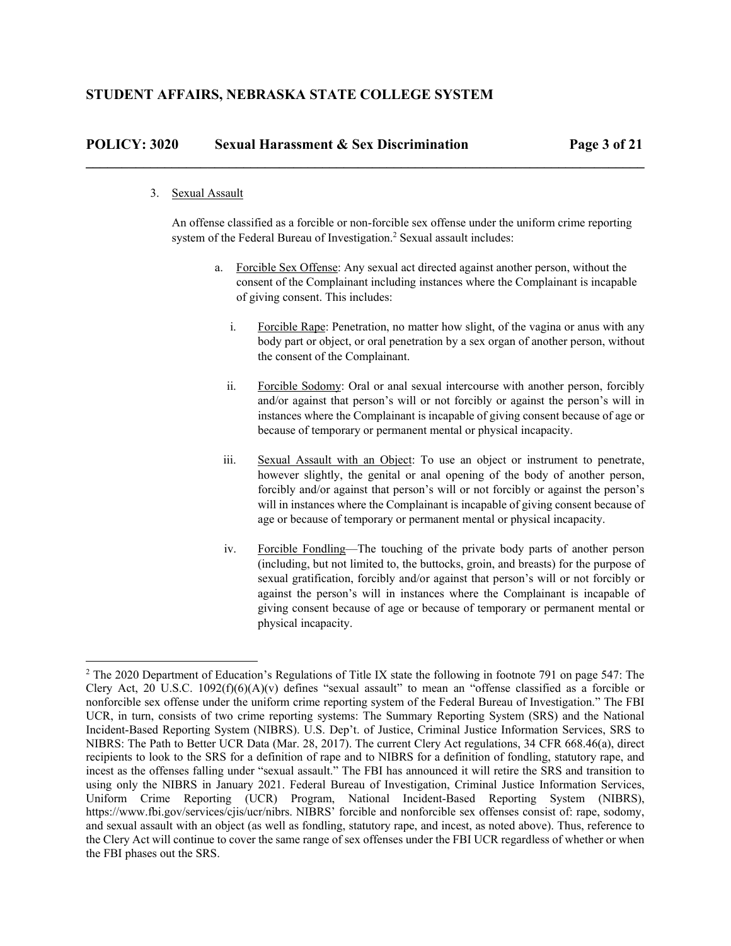#### 3. Sexual Assault

An offense classified as a forcible or non-forcible sex offense under the uniform crime reporting system of the Federal Bureau of Investigation.<sup>2</sup> Sexual assault includes:

**\_\_\_\_\_\_\_\_\_\_\_\_\_\_\_\_\_\_\_\_\_\_\_\_\_\_\_\_\_\_\_\_\_\_\_\_\_\_\_\_\_\_\_\_\_\_\_\_\_\_\_\_\_\_\_\_\_\_\_\_\_\_\_\_\_\_\_\_\_\_\_\_\_\_\_\_\_\_** 

- a. Forcible Sex Offense: Any sexual act directed against another person, without the consent of the Complainant including instances where the Complainant is incapable of giving consent. This includes:
	- i. Forcible Rape: Penetration, no matter how slight, of the vagina or anus with any body part or object, or oral penetration by a sex organ of another person, without the consent of the Complainant.
	- ii. Forcible Sodomy: Oral or anal sexual intercourse with another person, forcibly and/or against that person's will or not forcibly or against the person's will in instances where the Complainant is incapable of giving consent because of age or because of temporary or permanent mental or physical incapacity.
	- iii. Sexual Assault with an Object: To use an object or instrument to penetrate, however slightly, the genital or anal opening of the body of another person, forcibly and/or against that person's will or not forcibly or against the person's will in instances where the Complainant is incapable of giving consent because of age or because of temporary or permanent mental or physical incapacity.
	- iv. Forcible Fondling—The touching of the private body parts of another person (including, but not limited to, the buttocks, groin, and breasts) for the purpose of sexual gratification, forcibly and/or against that person's will or not forcibly or against the person's will in instances where the Complainant is incapable of giving consent because of age or because of temporary or permanent mental or physical incapacity.

<sup>&</sup>lt;sup>2</sup> The 2020 Department of Education's Regulations of Title IX state the following in footnote 791 on page 547: The Clery Act, 20 U.S.C.  $1092(f)(6)(A)(v)$  defines "sexual assault" to mean an "offense classified as a forcible or nonforcible sex offense under the uniform crime reporting system of the Federal Bureau of Investigation." The FBI UCR, in turn, consists of two crime reporting systems: The Summary Reporting System (SRS) and the National Incident-Based Reporting System (NIBRS). U.S. Dep't. of Justice, Criminal Justice Information Services, SRS to NIBRS: The Path to Better UCR Data (Mar. 28, 2017). The current Clery Act regulations, 34 CFR 668.46(a), direct recipients to look to the SRS for a definition of rape and to NIBRS for a definition of fondling, statutory rape, and incest as the offenses falling under "sexual assault." The FBI has announced it will retire the SRS and transition to using only the NIBRS in January 2021. Federal Bureau of Investigation, Criminal Justice Information Services, Uniform Crime Reporting (UCR) Program, National Incident-Based Reporting System (NIBRS), https://www.fbi.gov/services/cjis/ucr/nibrs. NIBRS' forcible and nonforcible sex offenses consist of: rape, sodomy, and sexual assault with an object (as well as fondling, statutory rape, and incest, as noted above). Thus, reference to the Clery Act will continue to cover the same range of sex offenses under the FBI UCR regardless of whether or when the FBI phases out the SRS.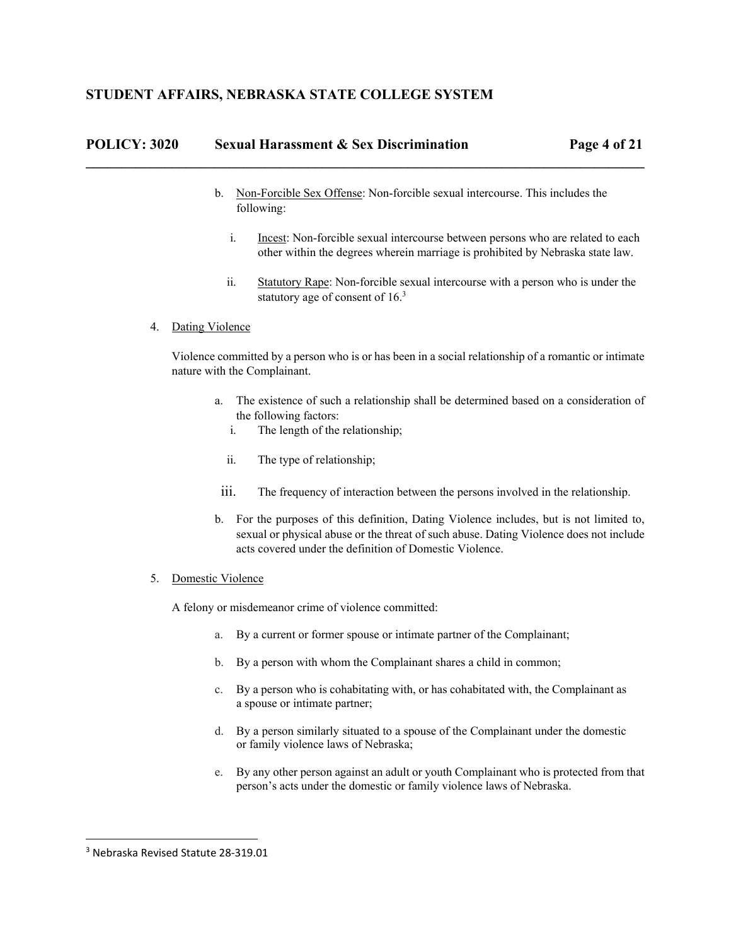## **STUDENT AFFAIRS, NEBRASKA STATE COLLEGE SYSTEM**

| <b>POLICY: 3020</b> | <b>Sexual Harassment &amp; Sex Discrimination</b> | Page 4 of 21 |
|---------------------|---------------------------------------------------|--------------|
|                     |                                                   |              |

- b. Non-Forcible Sex Offense: Non-forcible sexual intercourse. This includes the following:
	- i. Incest: Non-forcible sexual intercourse between persons who are related to each other within the degrees wherein marriage is prohibited by Nebraska state law.
	- ii. Statutory Rape: Non-forcible sexual intercourse with a person who is under the statutory age of consent of 16.<sup>3</sup>

#### 4. Dating Violence

Violence committed by a person who is or has been in a social relationship of a romantic or intimate nature with the Complainant.

- a. The existence of such a relationship shall be determined based on a consideration of the following factors:
	- i. The length of the relationship;
	- ii. The type of relationship;
- iii. The frequency of interaction between the persons involved in the relationship.
- b. For the purposes of this definition, Dating Violence includes, but is not limited to, sexual or physical abuse or the threat of such abuse. Dating Violence does not include acts covered under the definition of Domestic Violence.

### 5. Domestic Violence

A felony or misdemeanor crime of violence committed:

- a. By a current or former spouse or intimate partner of the Complainant;
- b. By a person with whom the Complainant shares a child in common;
- c. By a person who is cohabitating with, or has cohabitated with, the Complainant as a spouse or intimate partner;
- d. By a person similarly situated to a spouse of the Complainant under the domestic or family violence laws of Nebraska;
- e. By any other person against an adult or youth Complainant who is protected from that person's acts under the domestic or family violence laws of Nebraska.

 <sup>3</sup> Nebraska Revised Statute 28‐319.01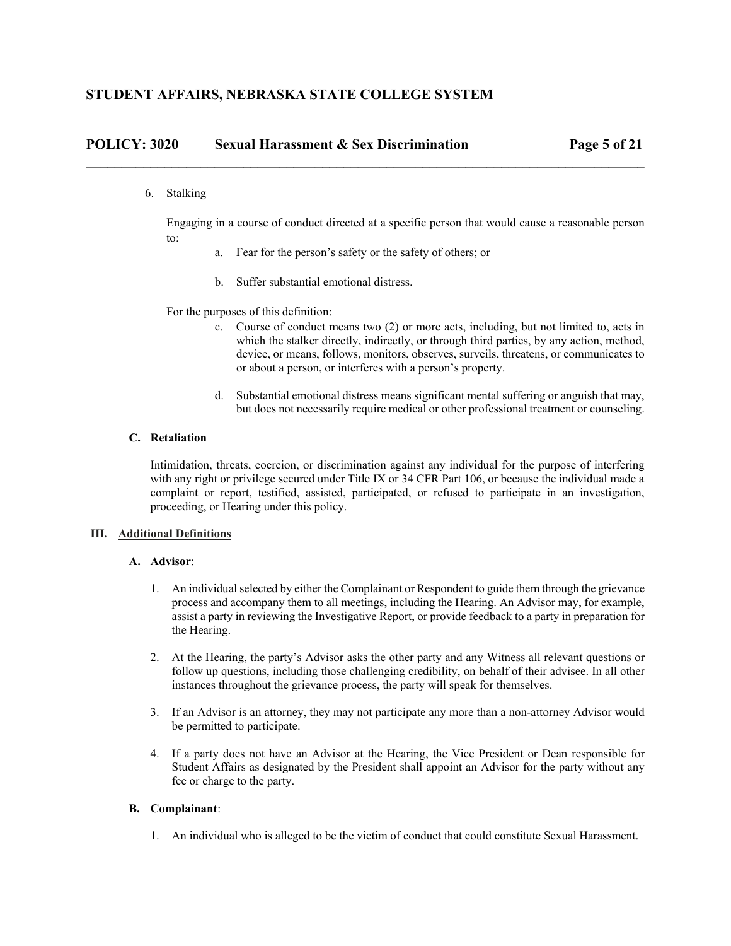6. Stalking

Engaging in a course of conduct directed at a specific person that would cause a reasonable person to:

- a. Fear for the person's safety or the safety of others; or
- b. Suffer substantial emotional distress.

For the purposes of this definition:

- c. Course of conduct means two (2) or more acts, including, but not limited to, acts in which the stalker directly, indirectly, or through third parties, by any action, method, device, or means, follows, monitors, observes, surveils, threatens, or communicates to or about a person, or interferes with a person's property.
- d. Substantial emotional distress means significant mental suffering or anguish that may, but does not necessarily require medical or other professional treatment or counseling.

### **C. Retaliation**

Intimidation, threats, coercion, or discrimination against any individual for the purpose of interfering with any right or privilege secured under Title IX or 34 CFR Part 106, or because the individual made a complaint or report, testified, assisted, participated, or refused to participate in an investigation, proceeding, or Hearing under this policy.

### **III. Additional Definitions**

#### **A. Advisor**:

- 1. An individual selected by either the Complainant or Respondent to guide them through the grievance process and accompany them to all meetings, including the Hearing. An Advisor may, for example, assist a party in reviewing the Investigative Report, or provide feedback to a party in preparation for the Hearing.
- 2. At the Hearing, the party's Advisor asks the other party and any Witness all relevant questions or follow up questions, including those challenging credibility, on behalf of their advisee. In all other instances throughout the grievance process, the party will speak for themselves.
- 3. If an Advisor is an attorney, they may not participate any more than a non-attorney Advisor would be permitted to participate.
- 4. If a party does not have an Advisor at the Hearing, the Vice President or Dean responsible for Student Affairs as designated by the President shall appoint an Advisor for the party without any fee or charge to the party.

### **B. Complainant**:

1. An individual who is alleged to be the victim of conduct that could constitute Sexual Harassment.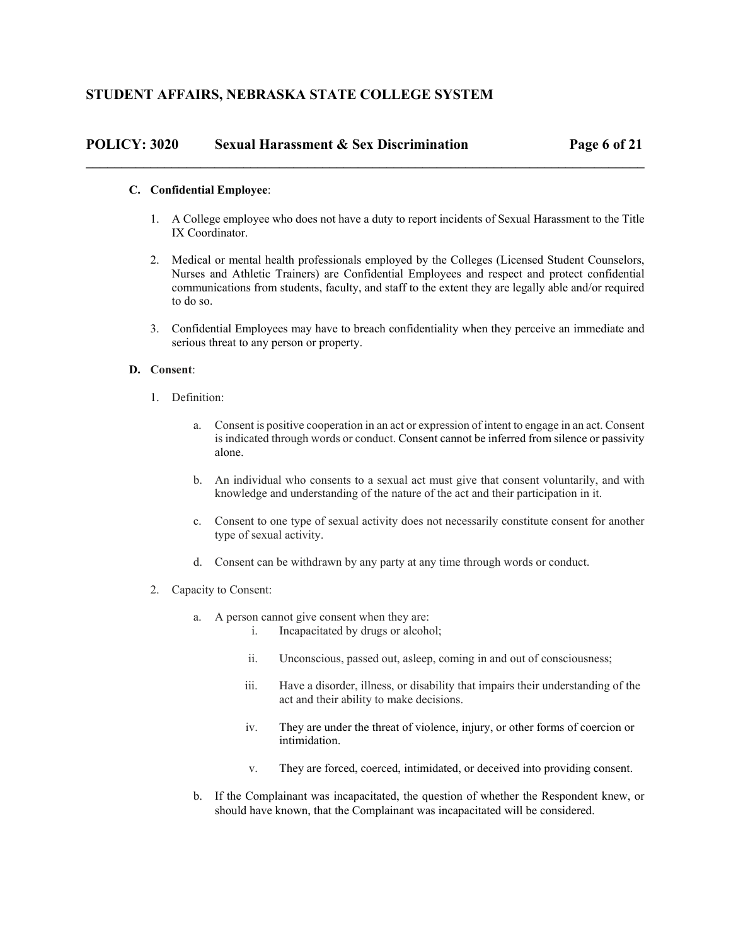# **POLICY: 3020 Sexual Harassment & Sex Discrimination Page 6 of 21 \_\_\_\_\_\_\_\_\_\_\_\_\_\_\_\_\_\_\_\_\_\_\_\_\_\_\_\_\_\_\_\_\_\_\_\_\_\_\_\_\_\_\_\_\_\_\_\_\_\_\_\_\_\_\_\_\_\_\_\_\_\_\_\_\_\_\_\_\_\_\_\_\_\_\_\_\_\_**

### **C. Confidential Employee**:

- 1. A College employee who does not have a duty to report incidents of Sexual Harassment to the Title IX Coordinator.
- 2. Medical or mental health professionals employed by the Colleges (Licensed Student Counselors, Nurses and Athletic Trainers) are Confidential Employees and respect and protect confidential communications from students, faculty, and staff to the extent they are legally able and/or required to do so.
- 3. Confidential Employees may have to breach confidentiality when they perceive an immediate and serious threat to any person or property.

### **D. Consent**:

- 1. Definition:
	- a. Consent is positive cooperation in an act or expression of intent to engage in an act. Consent is indicated through words or conduct. Consent cannot be inferred from silence or passivity alone.
	- b. An individual who consents to a sexual act must give that consent voluntarily, and with knowledge and understanding of the nature of the act and their participation in it.
	- c. Consent to one type of sexual activity does not necessarily constitute consent for another type of sexual activity.
	- d. Consent can be withdrawn by any party at any time through words or conduct.
- 2. Capacity to Consent:
	- a. A person cannot give consent when they are:
		- i. Incapacitated by drugs or alcohol;
		- ii. Unconscious, passed out, asleep, coming in and out of consciousness;
		- iii. Have a disorder, illness, or disability that impairs their understanding of the act and their ability to make decisions.
		- iv. They are under the threat of violence, injury, or other forms of coercion or intimidation.
		- v. They are forced, coerced, intimidated, or deceived into providing consent.
	- b. If the Complainant was incapacitated, the question of whether the Respondent knew, or should have known, that the Complainant was incapacitated will be considered.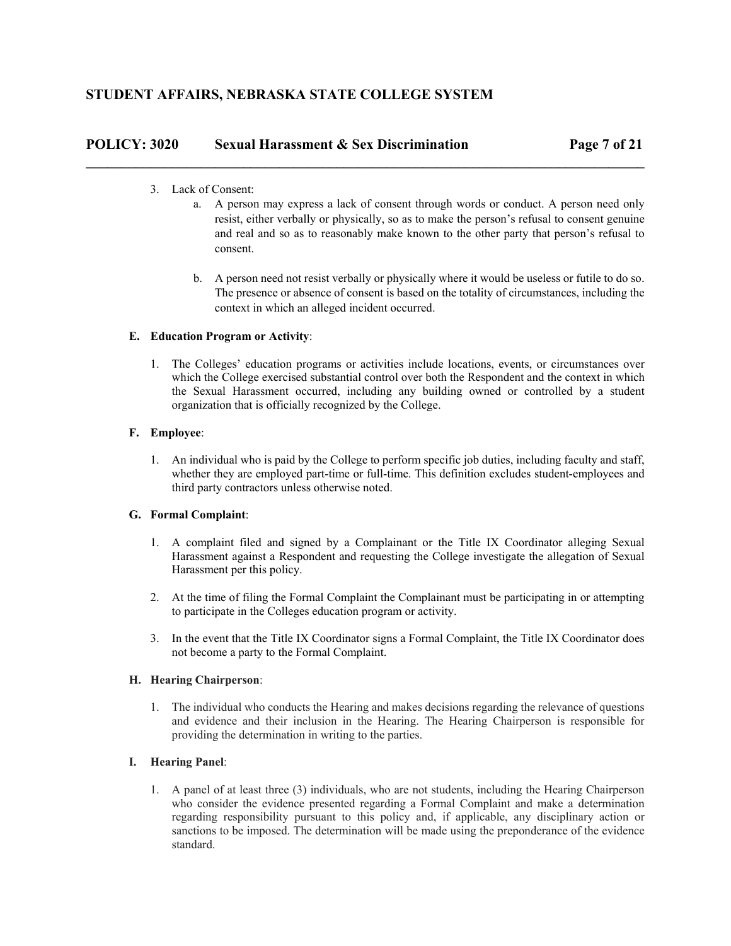# **POLICY: 3020 Sexual Harassment & Sex Discrimination Page 7 of 21 \_\_\_\_\_\_\_\_\_\_\_\_\_\_\_\_\_\_\_\_\_\_\_\_\_\_\_\_\_\_\_\_\_\_\_\_\_\_\_\_\_\_\_\_\_\_\_\_\_\_\_\_\_\_\_\_\_\_\_\_\_\_\_\_\_\_\_\_\_\_\_\_\_\_\_\_\_\_**

- 3. Lack of Consent:
	- a. A person may express a lack of consent through words or conduct. A person need only resist, either verbally or physically, so as to make the person's refusal to consent genuine and real and so as to reasonably make known to the other party that person's refusal to consent.
	- b. A person need not resist verbally or physically where it would be useless or futile to do so. The presence or absence of consent is based on the totality of circumstances, including the context in which an alleged incident occurred.

## **E. Education Program or Activity**:

1. The Colleges' education programs or activities include locations, events, or circumstances over which the College exercised substantial control over both the Respondent and the context in which the Sexual Harassment occurred, including any building owned or controlled by a student organization that is officially recognized by the College.

## **F. Employee**:

1. An individual who is paid by the College to perform specific job duties, including faculty and staff, whether they are employed part-time or full-time. This definition excludes student-employees and third party contractors unless otherwise noted.

## **G. Formal Complaint**:

- 1. A complaint filed and signed by a Complainant or the Title IX Coordinator alleging Sexual Harassment against a Respondent and requesting the College investigate the allegation of Sexual Harassment per this policy.
- 2. At the time of filing the Formal Complaint the Complainant must be participating in or attempting to participate in the Colleges education program or activity.
- 3. In the event that the Title IX Coordinator signs a Formal Complaint, the Title IX Coordinator does not become a party to the Formal Complaint.

## **H. Hearing Chairperson**:

1. The individual who conducts the Hearing and makes decisions regarding the relevance of questions and evidence and their inclusion in the Hearing. The Hearing Chairperson is responsible for providing the determination in writing to the parties.

## **I. Hearing Panel**:

1. A panel of at least three (3) individuals, who are not students, including the Hearing Chairperson who consider the evidence presented regarding a Formal Complaint and make a determination regarding responsibility pursuant to this policy and, if applicable, any disciplinary action or sanctions to be imposed. The determination will be made using the preponderance of the evidence standard.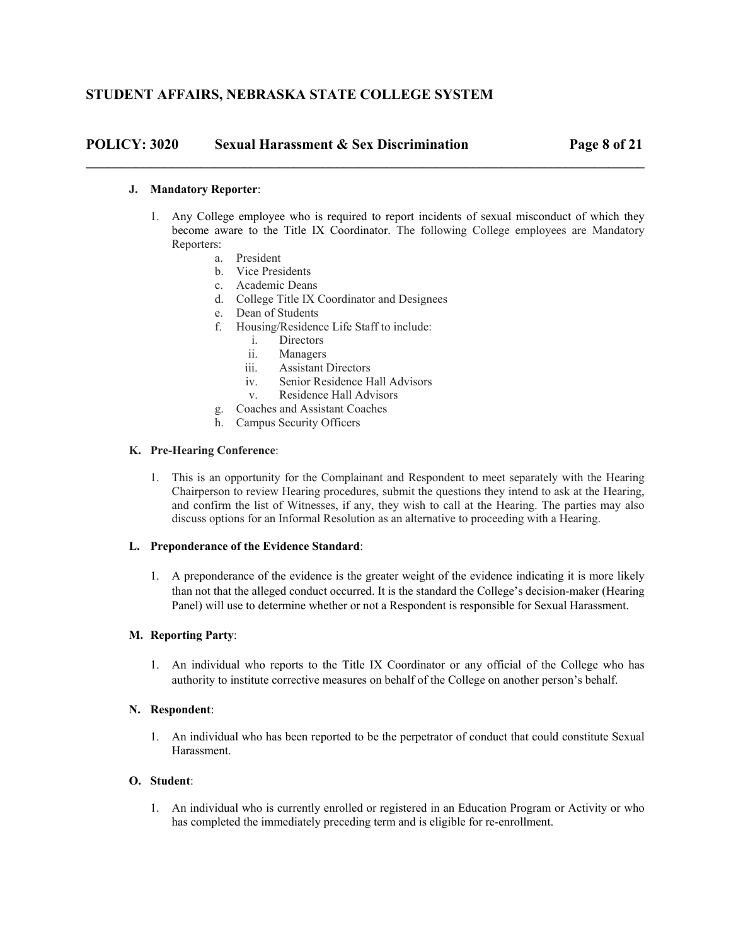## **POLICY: 3020 Sexual Harassment & Sex Discrimination Page 8 of 21**

### **J. Mandatory Reporter**:

1. Any College employee who is required to report incidents of sexual misconduct of which they become aware to the Title IX Coordinator. The following College employees are Mandatory Reporters:

**\_\_\_\_\_\_\_\_\_\_\_\_\_\_\_\_\_\_\_\_\_\_\_\_\_\_\_\_\_\_\_\_\_\_\_\_\_\_\_\_\_\_\_\_\_\_\_\_\_\_\_\_\_\_\_\_\_\_\_\_\_\_\_\_\_\_\_\_\_\_\_\_\_\_\_\_\_\_** 

- a. President
- b. Vice Presidents
- c. Academic Deans
- d. College Title IX Coordinator and Designees
- e. Dean of Students
- f. Housing/Residence Life Staff to include:
	- i. Directors
	- ii. Managers
	- iii. Assistant Directors
	- iv. Senior Residence Hall Advisors
	- v. Residence Hall Advisors
- g. Coaches and Assistant Coaches
- h. Campus Security Officers

### **K. Pre-Hearing Conference**:

1. This is an opportunity for the Complainant and Respondent to meet separately with the Hearing Chairperson to review Hearing procedures, submit the questions they intend to ask at the Hearing, and confirm the list of Witnesses, if any, they wish to call at the Hearing. The parties may also discuss options for an Informal Resolution as an alternative to proceeding with a Hearing.

### **L. Preponderance of the Evidence Standard**:

1. A preponderance of the evidence is the greater weight of the evidence indicating it is more likely than not that the alleged conduct occurred. It is the standard the College's decision-maker (Hearing Panel) will use to determine whether or not a Respondent is responsible for Sexual Harassment.

### **M. Reporting Party**:

1. An individual who reports to the Title IX Coordinator or any official of the College who has authority to institute corrective measures on behalf of the College on another person's behalf.

#### **N. Respondent**:

1. An individual who has been reported to be the perpetrator of conduct that could constitute Sexual Harassment.

### **O. Student**:

1. An individual who is currently enrolled or registered in an Education Program or Activity or who has completed the immediately preceding term and is eligible for re-enrollment.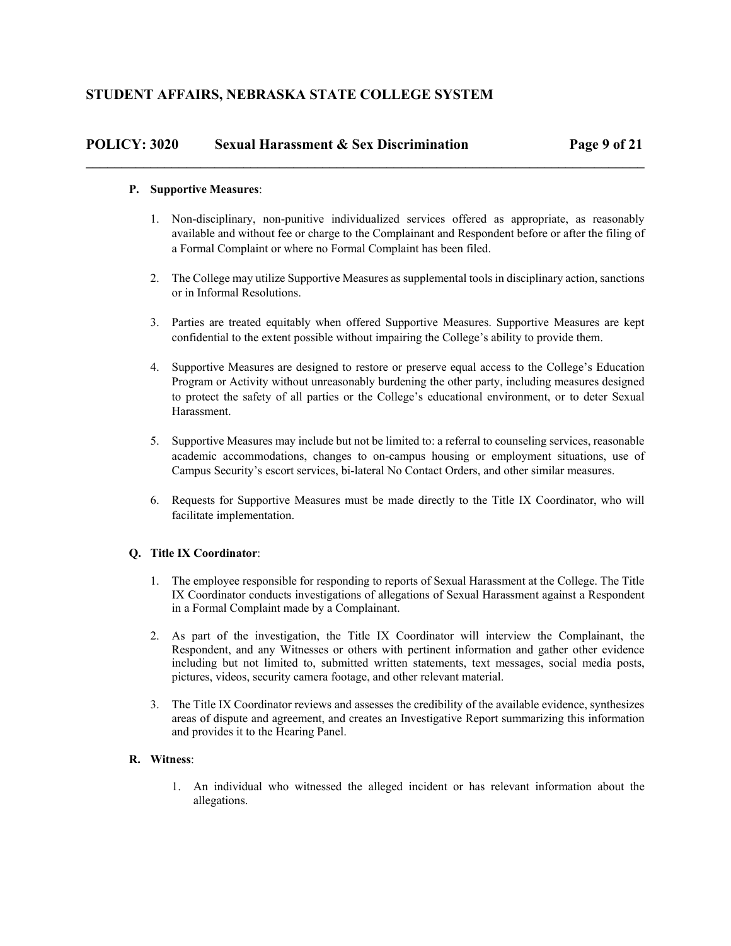## **POLICY: 3020 Sexual Harassment & Sex Discrimination Page 9 of 21**

### **P. Supportive Measures**:

1. Non-disciplinary, non-punitive individualized services offered as appropriate, as reasonably available and without fee or charge to the Complainant and Respondent before or after the filing of a Formal Complaint or where no Formal Complaint has been filed.

**\_\_\_\_\_\_\_\_\_\_\_\_\_\_\_\_\_\_\_\_\_\_\_\_\_\_\_\_\_\_\_\_\_\_\_\_\_\_\_\_\_\_\_\_\_\_\_\_\_\_\_\_\_\_\_\_\_\_\_\_\_\_\_\_\_\_\_\_\_\_\_\_\_\_\_\_\_\_** 

- 2. The College may utilize Supportive Measures as supplemental tools in disciplinary action, sanctions or in Informal Resolutions.
- 3. Parties are treated equitably when offered Supportive Measures. Supportive Measures are kept confidential to the extent possible without impairing the College's ability to provide them.
- 4. Supportive Measures are designed to restore or preserve equal access to the College's Education Program or Activity without unreasonably burdening the other party, including measures designed to protect the safety of all parties or the College's educational environment, or to deter Sexual Harassment.
- 5. Supportive Measures may include but not be limited to: a referral to counseling services, reasonable academic accommodations, changes to on-campus housing or employment situations, use of Campus Security's escort services, bi-lateral No Contact Orders, and other similar measures.
- 6. Requests for Supportive Measures must be made directly to the Title IX Coordinator, who will facilitate implementation.

## **Q. Title IX Coordinator**:

- 1. The employee responsible for responding to reports of Sexual Harassment at the College. The Title IX Coordinator conducts investigations of allegations of Sexual Harassment against a Respondent in a Formal Complaint made by a Complainant.
- 2. As part of the investigation, the Title IX Coordinator will interview the Complainant, the Respondent, and any Witnesses or others with pertinent information and gather other evidence including but not limited to, submitted written statements, text messages, social media posts, pictures, videos, security camera footage, and other relevant material.
- 3. The Title IX Coordinator reviews and assesses the credibility of the available evidence, synthesizes areas of dispute and agreement, and creates an Investigative Report summarizing this information and provides it to the Hearing Panel.

## **R. Witness**:

1. An individual who witnessed the alleged incident or has relevant information about the allegations.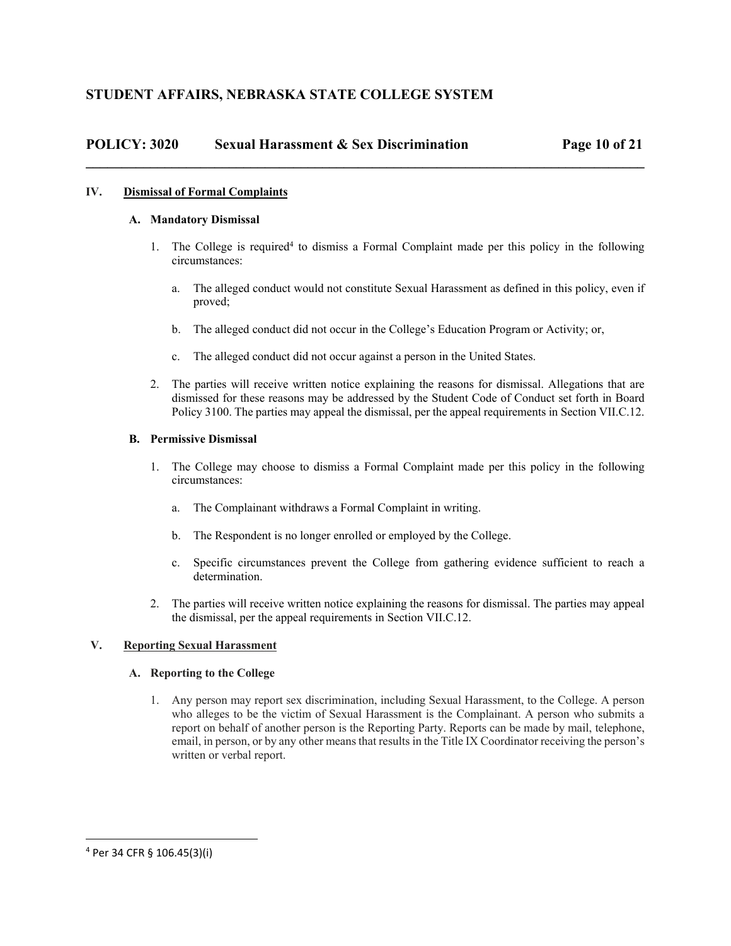## **POLICY: 3020 Sexual Harassment & Sex Discrimination Page 10 of 21**

### **IV. Dismissal of Formal Complaints**

### **A. Mandatory Dismissal**

- 1. The College is required<sup>4</sup> to dismiss a Formal Complaint made per this policy in the following circumstances:
	- a. The alleged conduct would not constitute Sexual Harassment as defined in this policy, even if proved;
	- b. The alleged conduct did not occur in the College's Education Program or Activity; or,
	- c. The alleged conduct did not occur against a person in the United States.

**\_\_\_\_\_\_\_\_\_\_\_\_\_\_\_\_\_\_\_\_\_\_\_\_\_\_\_\_\_\_\_\_\_\_\_\_\_\_\_\_\_\_\_\_\_\_\_\_\_\_\_\_\_\_\_\_\_\_\_\_\_\_\_\_\_\_\_\_\_\_\_\_\_\_\_\_\_\_** 

2. The parties will receive written notice explaining the reasons for dismissal. Allegations that are dismissed for these reasons may be addressed by the Student Code of Conduct set forth in Board Policy 3100. The parties may appeal the dismissal, per the appeal requirements in Section VII.C.12.

### **B. Permissive Dismissal**

- 1. The College may choose to dismiss a Formal Complaint made per this policy in the following circumstances:
	- a. The Complainant withdraws a Formal Complaint in writing.
	- b. The Respondent is no longer enrolled or employed by the College.
	- c. Specific circumstances prevent the College from gathering evidence sufficient to reach a determination.
- 2. The parties will receive written notice explaining the reasons for dismissal. The parties may appeal the dismissal, per the appeal requirements in Section VII.C.12.

## **V. Reporting Sexual Harassment**

#### **A. Reporting to the College**

1. Any person may report sex discrimination, including Sexual Harassment, to the College. A person who alleges to be the victim of Sexual Harassment is the Complainant. A person who submits a report on behalf of another person is the Reporting Party. Reports can be made by mail, telephone, email, in person, or by any other means that results in the Title IX Coordinator receiving the person's written or verbal report.

<sup>4</sup> Per 34 CFR § 106.45(3)(i)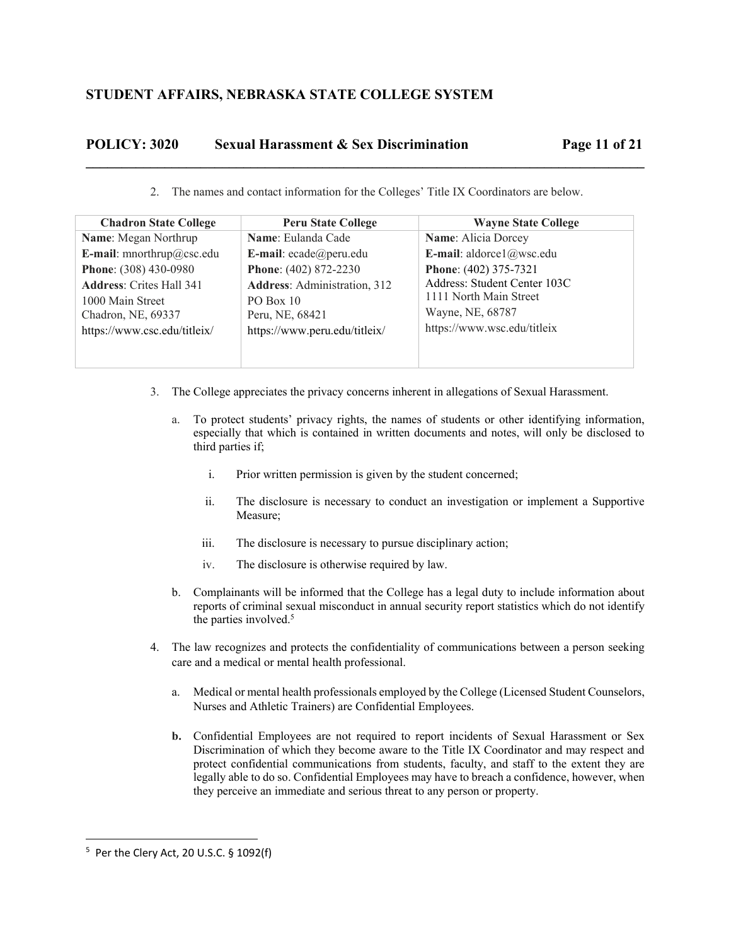# **POLICY: 3020 Sexual Harassment & Sex Discrimination Page 11 of 21**

2. The names and contact information for the Colleges' Title IX Coordinators are below.

**\_\_\_\_\_\_\_\_\_\_\_\_\_\_\_\_\_\_\_\_\_\_\_\_\_\_\_\_\_\_\_\_\_\_\_\_\_\_\_\_\_\_\_\_\_\_\_\_\_\_\_\_\_\_\_\_\_\_\_\_\_\_\_\_\_\_\_\_\_\_\_\_\_\_\_\_\_\_** 

| <b>Chadron State College</b>    | <b>Peru State College</b>           | <b>Wayne State College</b>   |
|---------------------------------|-------------------------------------|------------------------------|
| Name: Megan Northrup            | Name: Eulanda Cade                  | Name: Alicia Dorcey          |
| E-mail: mnorthrup@csc.edu       | E-mail: ecade@peru.edu              | E-mail: aldorce $1$ @wsc.edu |
| Phone: (308) 430-0980           | Phone: (402) 872-2230               | Phone: (402) 375-7321        |
| <b>Address: Crites Hall 341</b> | <b>Address:</b> Administration, 312 | Address: Student Center 103C |
| 1000 Main Street                | $PO$ Box 10                         | 1111 North Main Street       |
| Chadron, NE, 69337              | Peru, NE, 68421                     | Wayne, NE, 68787             |
| https://www.csc.edu/titleix/    | https://www.peru.edu/titleix/       | https://www.wsc.edu/titleix  |
|                                 |                                     |                              |
|                                 |                                     |                              |

- 3. The College appreciates the privacy concerns inherent in allegations of Sexual Harassment.
	- a. To protect students' privacy rights, the names of students or other identifying information, especially that which is contained in written documents and notes, will only be disclosed to third parties if;
		- i. Prior written permission is given by the student concerned;
		- ii. The disclosure is necessary to conduct an investigation or implement a Supportive Measure;
		- iii. The disclosure is necessary to pursue disciplinary action;
		- iv. The disclosure is otherwise required by law.
	- b. Complainants will be informed that the College has a legal duty to include information about reports of criminal sexual misconduct in annual security report statistics which do not identify the parties involved.<sup>5</sup>
- 4. The law recognizes and protects the confidentiality of communications between a person seeking care and a medical or mental health professional.
	- a. Medical or mental health professionals employed by the College (Licensed Student Counselors, Nurses and Athletic Trainers) are Confidential Employees.
	- **b.** Confidential Employees are not required to report incidents of Sexual Harassment or Sex Discrimination of which they become aware to the Title IX Coordinator and may respect and protect confidential communications from students, faculty, and staff to the extent they are legally able to do so. Confidential Employees may have to breach a confidence, however, when they perceive an immediate and serious threat to any person or property.

 5 Per the Clery Act, 20 U.S.C. § 1092(f)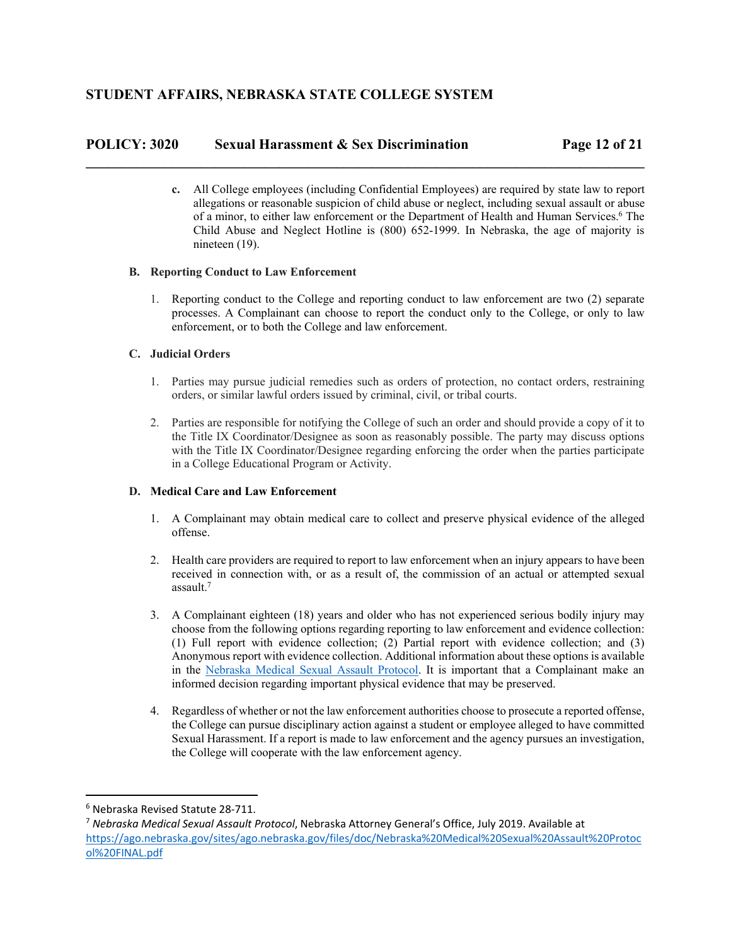## **POLICY: 3020 Sexual Harassment & Sex Discrimination Page 12 of 21**

**c.** All College employees (including Confidential Employees) are required by state law to report allegations or reasonable suspicion of child abuse or neglect, including sexual assault or abuse of a minor, to either law enforcement or the Department of Health and Human Services.<sup>6</sup> The Child Abuse and Neglect Hotline is (800) 652-1999. In Nebraska, the age of majority is nineteen (19).

**\_\_\_\_\_\_\_\_\_\_\_\_\_\_\_\_\_\_\_\_\_\_\_\_\_\_\_\_\_\_\_\_\_\_\_\_\_\_\_\_\_\_\_\_\_\_\_\_\_\_\_\_\_\_\_\_\_\_\_\_\_\_\_\_\_\_\_\_\_\_\_\_\_\_\_\_\_\_** 

## **B. Reporting Conduct to Law Enforcement**

1. Reporting conduct to the College and reporting conduct to law enforcement are two (2) separate processes. A Complainant can choose to report the conduct only to the College, or only to law enforcement, or to both the College and law enforcement.

## **C. Judicial Orders**

- 1. Parties may pursue judicial remedies such as orders of protection, no contact orders, restraining orders, or similar lawful orders issued by criminal, civil, or tribal courts.
- 2. Parties are responsible for notifying the College of such an order and should provide a copy of it to the Title IX Coordinator/Designee as soon as reasonably possible. The party may discuss options with the Title IX Coordinator/Designee regarding enforcing the order when the parties participate in a College Educational Program or Activity.

## **D. Medical Care and Law Enforcement**

- 1. A Complainant may obtain medical care to collect and preserve physical evidence of the alleged offense.
- 2. Health care providers are required to report to law enforcement when an injury appears to have been received in connection with, or as a result of, the commission of an actual or attempted sexual assault.7
- 3. A Complainant eighteen (18) years and older who has not experienced serious bodily injury may choose from the following options regarding reporting to law enforcement and evidence collection: (1) Full report with evidence collection; (2) Partial report with evidence collection; and (3) Anonymous report with evidence collection. Additional information about these options is available in the Nebraska Medical Sexual Assault Protocol. It is important that a Complainant make an informed decision regarding important physical evidence that may be preserved.
- 4. Regardless of whether or not the law enforcement authorities choose to prosecute a reported offense, the College can pursue disciplinary action against a student or employee alleged to have committed Sexual Harassment. If a report is made to law enforcement and the agency pursues an investigation, the College will cooperate with the law enforcement agency.

 <sup>6</sup> Nebraska Revised Statute 28‐711.

<sup>7</sup> *Nebraska Medical Sexual Assault Protocol*, Nebraska Attorney General's Office, July 2019. Available at https://ago.nebraska.gov/sites/ago.nebraska.gov/files/doc/Nebraska%20Medical%20Sexual%20Assault%20Protoc ol%20FINAL.pdf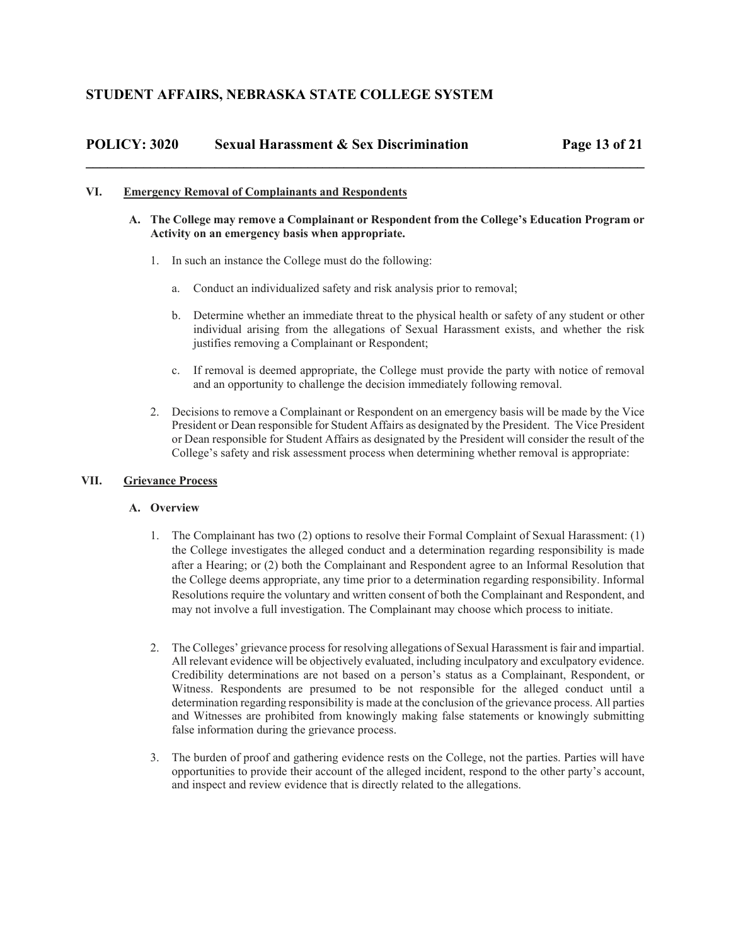# **POLICY: 3020 Sexual Harassment & Sex Discrimination Page 13 of 21 \_\_\_\_\_\_\_\_\_\_\_\_\_\_\_\_\_\_\_\_\_\_\_\_\_\_\_\_\_\_\_\_\_\_\_\_\_\_\_\_\_\_\_\_\_\_\_\_\_\_\_\_\_\_\_\_\_\_\_\_\_\_\_\_\_\_\_\_\_\_\_\_\_\_\_\_\_\_**

### **VI. Emergency Removal of Complainants and Respondents**

- **A. The College may remove a Complainant or Respondent from the College's Education Program or Activity on an emergency basis when appropriate.** 
	- 1. In such an instance the College must do the following:
		- a. Conduct an individualized safety and risk analysis prior to removal;
		- b. Determine whether an immediate threat to the physical health or safety of any student or other individual arising from the allegations of Sexual Harassment exists, and whether the risk justifies removing a Complainant or Respondent;
		- c. If removal is deemed appropriate, the College must provide the party with notice of removal and an opportunity to challenge the decision immediately following removal.
	- 2. Decisions to remove a Complainant or Respondent on an emergency basis will be made by the Vice President or Dean responsible for Student Affairs as designated by the President. The Vice President or Dean responsible for Student Affairs as designated by the President will consider the result of the College's safety and risk assessment process when determining whether removal is appropriate:

## **VII. Grievance Process**

#### **A. Overview**

- 1. The Complainant has two (2) options to resolve their Formal Complaint of Sexual Harassment: (1) the College investigates the alleged conduct and a determination regarding responsibility is made after a Hearing; or (2) both the Complainant and Respondent agree to an Informal Resolution that the College deems appropriate, any time prior to a determination regarding responsibility. Informal Resolutions require the voluntary and written consent of both the Complainant and Respondent, and may not involve a full investigation. The Complainant may choose which process to initiate.
- 2. The Colleges' grievance process for resolving allegations of Sexual Harassment is fair and impartial. All relevant evidence will be objectively evaluated, including inculpatory and exculpatory evidence. Credibility determinations are not based on a person's status as a Complainant, Respondent, or Witness. Respondents are presumed to be not responsible for the alleged conduct until a determination regarding responsibility is made at the conclusion of the grievance process. All parties and Witnesses are prohibited from knowingly making false statements or knowingly submitting false information during the grievance process.
- 3. The burden of proof and gathering evidence rests on the College, not the parties. Parties will have opportunities to provide their account of the alleged incident, respond to the other party's account, and inspect and review evidence that is directly related to the allegations.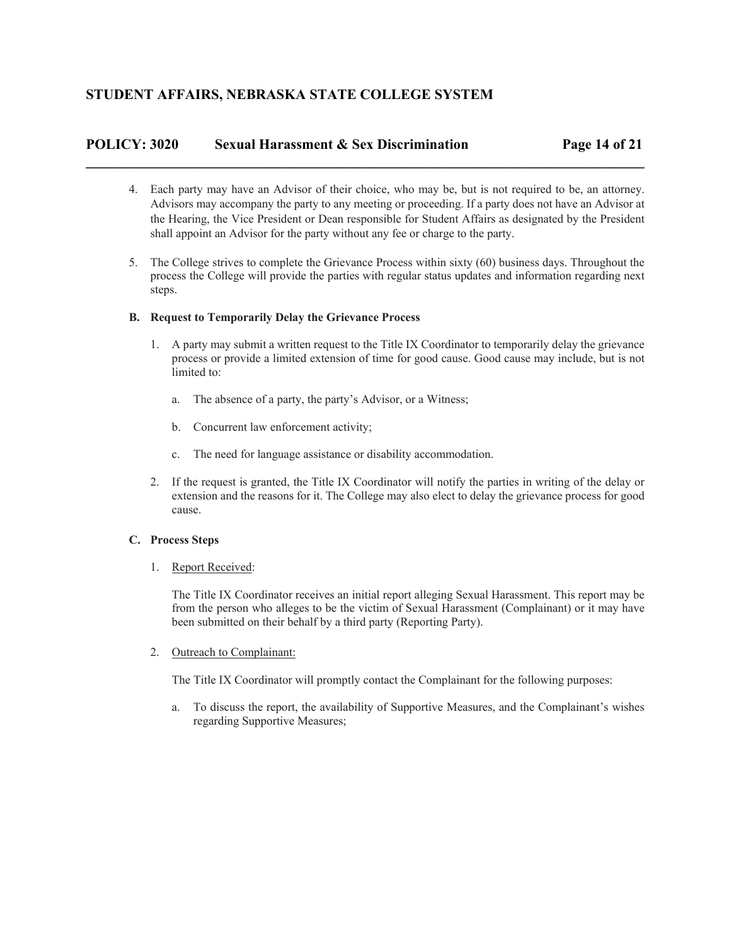## **POLICY: 3020 Sexual Harassment & Sex Discrimination Page 14 of 21**

**\_\_\_\_\_\_\_\_\_\_\_\_\_\_\_\_\_\_\_\_\_\_\_\_\_\_\_\_\_\_\_\_\_\_\_\_\_\_\_\_\_\_\_\_\_\_\_\_\_\_\_\_\_\_\_\_\_\_\_\_\_\_\_\_\_\_\_\_\_\_\_\_\_\_\_\_\_\_** 

- 4. Each party may have an Advisor of their choice, who may be, but is not required to be, an attorney. Advisors may accompany the party to any meeting or proceeding. If a party does not have an Advisor at the Hearing, the Vice President or Dean responsible for Student Affairs as designated by the President shall appoint an Advisor for the party without any fee or charge to the party.
- 5. The College strives to complete the Grievance Process within sixty (60) business days. Throughout the process the College will provide the parties with regular status updates and information regarding next steps.

## **B. Request to Temporarily Delay the Grievance Process**

- 1. A party may submit a written request to the Title IX Coordinator to temporarily delay the grievance process or provide a limited extension of time for good cause. Good cause may include, but is not limited to:
	- a. The absence of a party, the party's Advisor, or a Witness;
	- b. Concurrent law enforcement activity;
	- c. The need for language assistance or disability accommodation.
- 2. If the request is granted, the Title IX Coordinator will notify the parties in writing of the delay or extension and the reasons for it. The College may also elect to delay the grievance process for good cause.

## **C. Process Steps**

1. Report Received:

The Title IX Coordinator receives an initial report alleging Sexual Harassment. This report may be from the person who alleges to be the victim of Sexual Harassment (Complainant) or it may have been submitted on their behalf by a third party (Reporting Party).

2. Outreach to Complainant:

The Title IX Coordinator will promptly contact the Complainant for the following purposes:

a. To discuss the report, the availability of Supportive Measures, and the Complainant's wishes regarding Supportive Measures;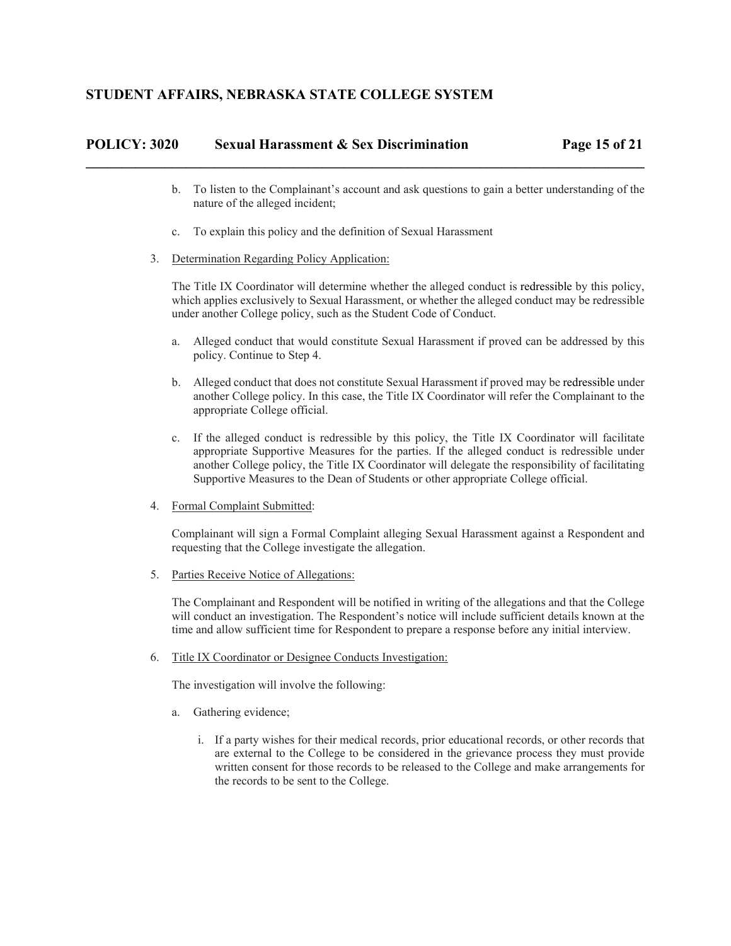| POLICY: 3020 | <b>Sexual Harassment &amp; Sex Discrimination</b> | Page 15 of 21 |
|--------------|---------------------------------------------------|---------------|
|              |                                                   |               |

- b. To listen to the Complainant's account and ask questions to gain a better understanding of the nature of the alleged incident;
- c. To explain this policy and the definition of Sexual Harassment
- 3. Determination Regarding Policy Application:

The Title IX Coordinator will determine whether the alleged conduct is redressible by this policy, which applies exclusively to Sexual Harassment, or whether the alleged conduct may be redressible under another College policy, such as the Student Code of Conduct.

- a. Alleged conduct that would constitute Sexual Harassment if proved can be addressed by this policy. Continue to Step 4.
- b. Alleged conduct that does not constitute Sexual Harassment if proved may be redressible under another College policy. In this case, the Title IX Coordinator will refer the Complainant to the appropriate College official.
- c. If the alleged conduct is redressible by this policy, the Title IX Coordinator will facilitate appropriate Supportive Measures for the parties. If the alleged conduct is redressible under another College policy, the Title IX Coordinator will delegate the responsibility of facilitating Supportive Measures to the Dean of Students or other appropriate College official.
- 4. Formal Complaint Submitted:

Complainant will sign a Formal Complaint alleging Sexual Harassment against a Respondent and requesting that the College investigate the allegation.

5. Parties Receive Notice of Allegations:

The Complainant and Respondent will be notified in writing of the allegations and that the College will conduct an investigation. The Respondent's notice will include sufficient details known at the time and allow sufficient time for Respondent to prepare a response before any initial interview.

6. Title IX Coordinator or Designee Conducts Investigation:

The investigation will involve the following:

- a. Gathering evidence;
	- i. If a party wishes for their medical records, prior educational records, or other records that are external to the College to be considered in the grievance process they must provide written consent for those records to be released to the College and make arrangements for the records to be sent to the College.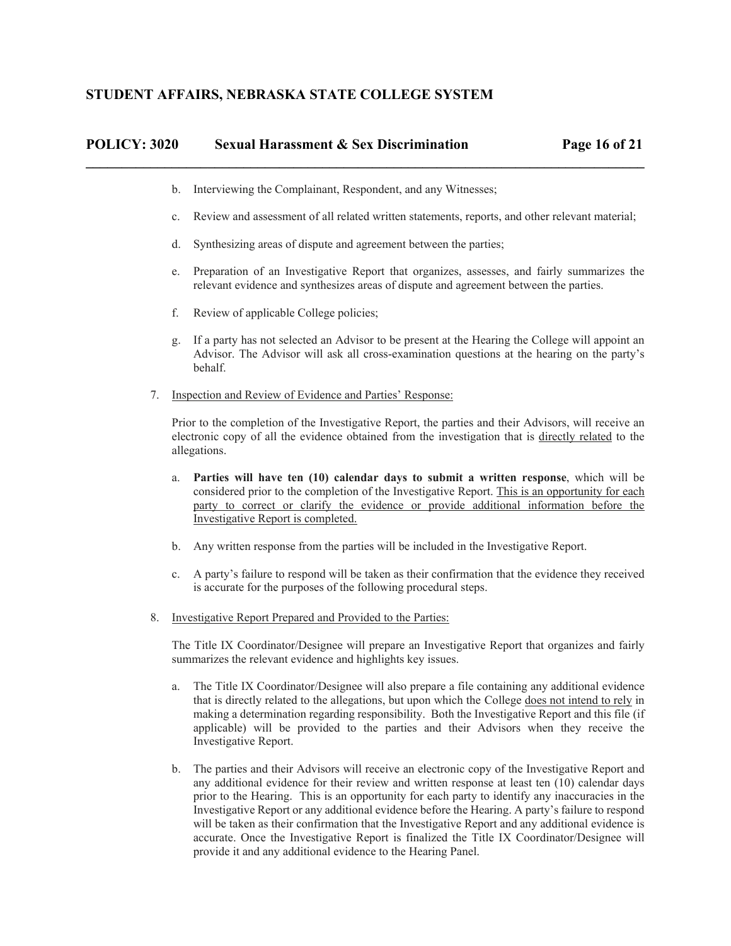# **POLICY: 3020 Sexual Harassment & Sex Discrimination Page 16 of 21 \_\_\_\_\_\_\_\_\_\_\_\_\_\_\_\_\_\_\_\_\_\_\_\_\_\_\_\_\_\_\_\_\_\_\_\_\_\_\_\_\_\_\_\_\_\_\_\_\_\_\_\_\_\_\_\_\_\_\_\_\_\_\_\_\_\_\_\_\_\_\_\_\_\_\_\_\_\_**

- b. Interviewing the Complainant, Respondent, and any Witnesses;
- c. Review and assessment of all related written statements, reports, and other relevant material;
- d. Synthesizing areas of dispute and agreement between the parties;
- e. Preparation of an Investigative Report that organizes, assesses, and fairly summarizes the relevant evidence and synthesizes areas of dispute and agreement between the parties.
- f. Review of applicable College policies;
- g. If a party has not selected an Advisor to be present at the Hearing the College will appoint an Advisor. The Advisor will ask all cross-examination questions at the hearing on the party's behalf.
- 7. Inspection and Review of Evidence and Parties' Response:

Prior to the completion of the Investigative Report, the parties and their Advisors, will receive an electronic copy of all the evidence obtained from the investigation that is directly related to the allegations.

- a. **Parties will have ten (10) calendar days to submit a written response**, which will be considered prior to the completion of the Investigative Report. This is an opportunity for each party to correct or clarify the evidence or provide additional information before the Investigative Report is completed.
- b. Any written response from the parties will be included in the Investigative Report.
- c. A party's failure to respond will be taken as their confirmation that the evidence they received is accurate for the purposes of the following procedural steps.
- 8. Investigative Report Prepared and Provided to the Parties:

The Title IX Coordinator/Designee will prepare an Investigative Report that organizes and fairly summarizes the relevant evidence and highlights key issues.

- a. The Title IX Coordinator/Designee will also prepare a file containing any additional evidence that is directly related to the allegations, but upon which the College does not intend to rely in making a determination regarding responsibility. Both the Investigative Report and this file (if applicable) will be provided to the parties and their Advisors when they receive the Investigative Report.
- b. The parties and their Advisors will receive an electronic copy of the Investigative Report and any additional evidence for their review and written response at least ten (10) calendar days prior to the Hearing. This is an opportunity for each party to identify any inaccuracies in the Investigative Report or any additional evidence before the Hearing. A party's failure to respond will be taken as their confirmation that the Investigative Report and any additional evidence is accurate. Once the Investigative Report is finalized the Title IX Coordinator/Designee will provide it and any additional evidence to the Hearing Panel.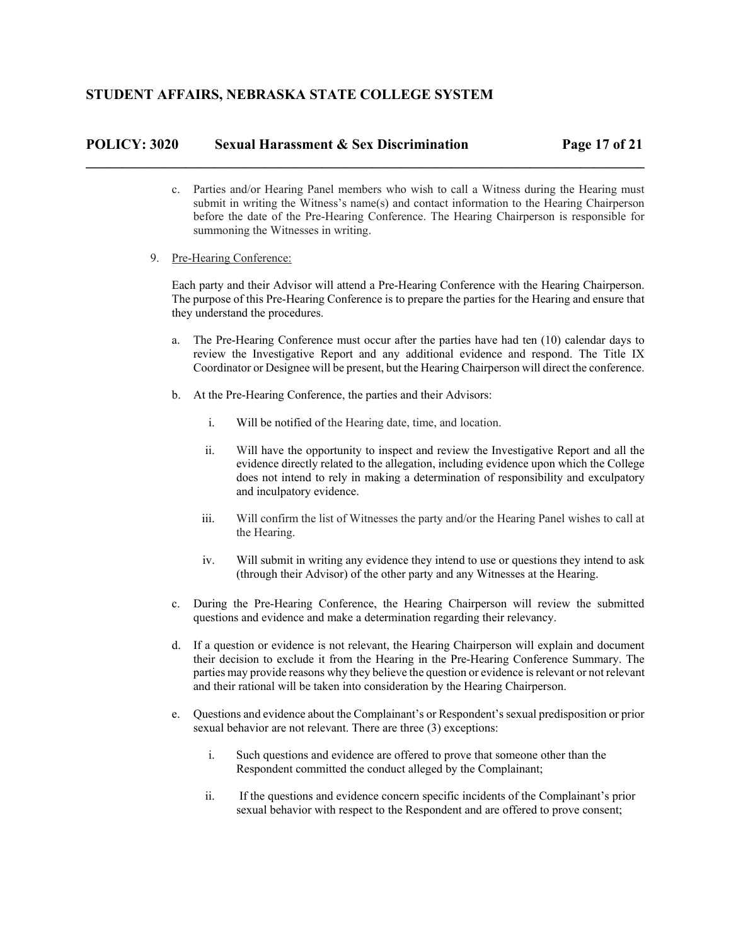## **POLICY: 3020 Sexual Harassment & Sex Discrimination Page 17 of 21**

c. Parties and/or Hearing Panel members who wish to call a Witness during the Hearing must submit in writing the Witness's name(s) and contact information to the Hearing Chairperson before the date of the Pre-Hearing Conference. The Hearing Chairperson is responsible for summoning the Witnesses in writing.

**\_\_\_\_\_\_\_\_\_\_\_\_\_\_\_\_\_\_\_\_\_\_\_\_\_\_\_\_\_\_\_\_\_\_\_\_\_\_\_\_\_\_\_\_\_\_\_\_\_\_\_\_\_\_\_\_\_\_\_\_\_\_\_\_\_\_\_\_\_\_\_\_\_\_\_\_\_\_** 

9. Pre-Hearing Conference:

Each party and their Advisor will attend a Pre-Hearing Conference with the Hearing Chairperson. The purpose of this Pre-Hearing Conference is to prepare the parties for the Hearing and ensure that they understand the procedures.

- a. The Pre-Hearing Conference must occur after the parties have had ten (10) calendar days to review the Investigative Report and any additional evidence and respond. The Title IX Coordinator or Designee will be present, but the Hearing Chairperson will direct the conference.
- b. At the Pre-Hearing Conference, the parties and their Advisors:
	- i. Will be notified of the Hearing date, time, and location.
	- ii. Will have the opportunity to inspect and review the Investigative Report and all the evidence directly related to the allegation, including evidence upon which the College does not intend to rely in making a determination of responsibility and exculpatory and inculpatory evidence.
	- iii. Will confirm the list of Witnesses the party and/or the Hearing Panel wishes to call at the Hearing.
	- iv. Will submit in writing any evidence they intend to use or questions they intend to ask (through their Advisor) of the other party and any Witnesses at the Hearing.
- c. During the Pre-Hearing Conference, the Hearing Chairperson will review the submitted questions and evidence and make a determination regarding their relevancy.
- d. If a question or evidence is not relevant, the Hearing Chairperson will explain and document their decision to exclude it from the Hearing in the Pre-Hearing Conference Summary. The parties may provide reasons why they believe the question or evidence is relevant or not relevant and their rational will be taken into consideration by the Hearing Chairperson.
- e. Questions and evidence about the Complainant's or Respondent's sexual predisposition or prior sexual behavior are not relevant. There are three (3) exceptions:
	- i. Such questions and evidence are offered to prove that someone other than the Respondent committed the conduct alleged by the Complainant;
	- ii. If the questions and evidence concern specific incidents of the Complainant's prior sexual behavior with respect to the Respondent and are offered to prove consent;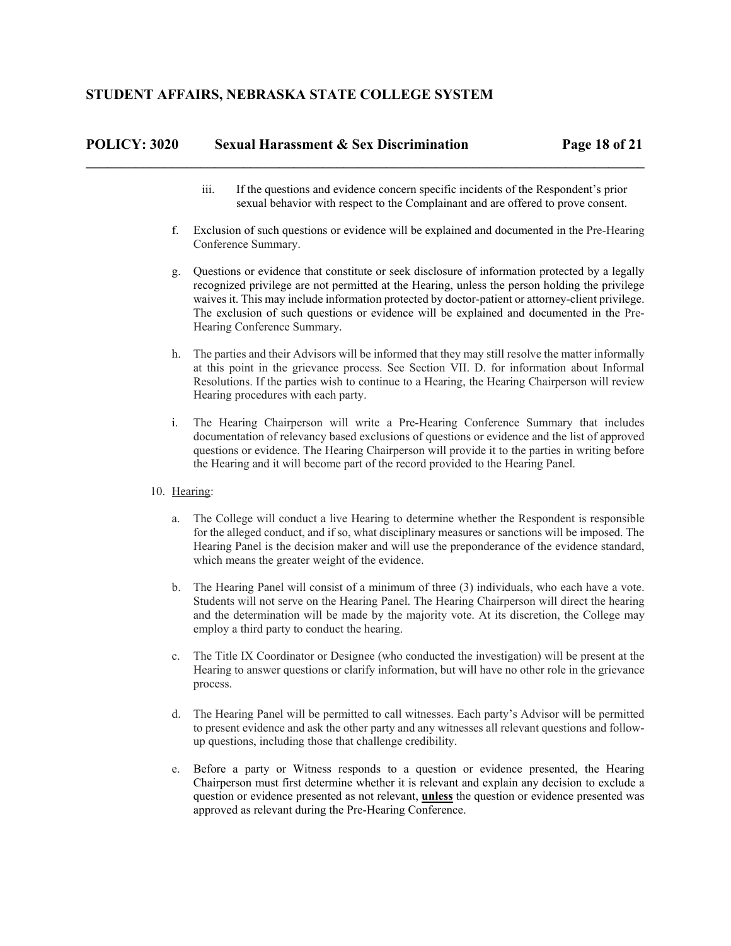# **POLICY: 3020 Sexual Harassment & Sex Discrimination Page 18 of 21 \_\_\_\_\_\_\_\_\_\_\_\_\_\_\_\_\_\_\_\_\_\_\_\_\_\_\_\_\_\_\_\_\_\_\_\_\_\_\_\_\_\_\_\_\_\_\_\_\_\_\_\_\_\_\_\_\_\_\_\_\_\_\_\_\_\_\_\_\_\_\_\_\_\_\_\_\_\_**

- iii. If the questions and evidence concern specific incidents of the Respondent's prior sexual behavior with respect to the Complainant and are offered to prove consent.
- f. Exclusion of such questions or evidence will be explained and documented in the Pre-Hearing Conference Summary.
- g. Questions or evidence that constitute or seek disclosure of information protected by a legally recognized privilege are not permitted at the Hearing, unless the person holding the privilege waives it. This may include information protected by doctor-patient or attorney-client privilege. The exclusion of such questions or evidence will be explained and documented in the Pre-Hearing Conference Summary.
- h. The parties and their Advisors will be informed that they may still resolve the matter informally at this point in the grievance process. See Section VII. D. for information about Informal Resolutions. If the parties wish to continue to a Hearing, the Hearing Chairperson will review Hearing procedures with each party.
- i. The Hearing Chairperson will write a Pre-Hearing Conference Summary that includes documentation of relevancy based exclusions of questions or evidence and the list of approved questions or evidence. The Hearing Chairperson will provide it to the parties in writing before the Hearing and it will become part of the record provided to the Hearing Panel.
- 10. Hearing:
	- a. The College will conduct a live Hearing to determine whether the Respondent is responsible for the alleged conduct, and if so, what disciplinary measures or sanctions will be imposed. The Hearing Panel is the decision maker and will use the preponderance of the evidence standard, which means the greater weight of the evidence.
	- b. The Hearing Panel will consist of a minimum of three (3) individuals, who each have a vote. Students will not serve on the Hearing Panel. The Hearing Chairperson will direct the hearing and the determination will be made by the majority vote. At its discretion, the College may employ a third party to conduct the hearing.
	- c. The Title IX Coordinator or Designee (who conducted the investigation) will be present at the Hearing to answer questions or clarify information, but will have no other role in the grievance process.
	- d. The Hearing Panel will be permitted to call witnesses. Each party's Advisor will be permitted to present evidence and ask the other party and any witnesses all relevant questions and followup questions, including those that challenge credibility.
	- e. Before a party or Witness responds to a question or evidence presented, the Hearing Chairperson must first determine whether it is relevant and explain any decision to exclude a question or evidence presented as not relevant, **unless** the question or evidence presented was approved as relevant during the Pre-Hearing Conference.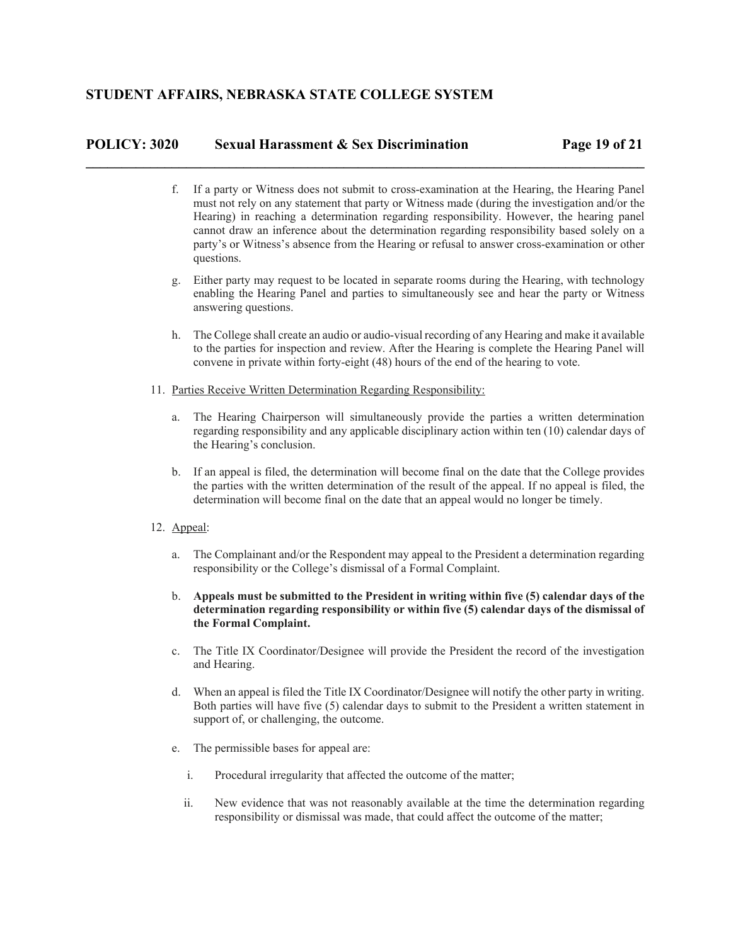## **POLICY: 3020 Sexual Harassment & Sex Discrimination Page 19 of 21**

f. If a party or Witness does not submit to cross-examination at the Hearing, the Hearing Panel must not rely on any statement that party or Witness made (during the investigation and/or the Hearing) in reaching a determination regarding responsibility. However, the hearing panel cannot draw an inference about the determination regarding responsibility based solely on a party's or Witness's absence from the Hearing or refusal to answer cross-examination or other questions.

**\_\_\_\_\_\_\_\_\_\_\_\_\_\_\_\_\_\_\_\_\_\_\_\_\_\_\_\_\_\_\_\_\_\_\_\_\_\_\_\_\_\_\_\_\_\_\_\_\_\_\_\_\_\_\_\_\_\_\_\_\_\_\_\_\_\_\_\_\_\_\_\_\_\_\_\_\_\_** 

- g. Either party may request to be located in separate rooms during the Hearing, with technology enabling the Hearing Panel and parties to simultaneously see and hear the party or Witness answering questions.
- h. The College shall create an audio or audio-visual recording of any Hearing and make it available to the parties for inspection and review. After the Hearing is complete the Hearing Panel will convene in private within forty-eight (48) hours of the end of the hearing to vote.
- 11. Parties Receive Written Determination Regarding Responsibility:
	- a. The Hearing Chairperson will simultaneously provide the parties a written determination regarding responsibility and any applicable disciplinary action within ten (10) calendar days of the Hearing's conclusion.
	- b. If an appeal is filed, the determination will become final on the date that the College provides the parties with the written determination of the result of the appeal. If no appeal is filed, the determination will become final on the date that an appeal would no longer be timely.
- 12. Appeal:
	- a. The Complainant and/or the Respondent may appeal to the President a determination regarding responsibility or the College's dismissal of a Formal Complaint.
	- b. **Appeals must be submitted to the President in writing within five (5) calendar days of the determination regarding responsibility or within five (5) calendar days of the dismissal of the Formal Complaint.**
	- c. The Title IX Coordinator/Designee will provide the President the record of the investigation and Hearing.
	- d. When an appeal is filed the Title IX Coordinator/Designee will notify the other party in writing. Both parties will have five (5) calendar days to submit to the President a written statement in support of, or challenging, the outcome.
	- e. The permissible bases for appeal are:
		- i. Procedural irregularity that affected the outcome of the matter;
		- ii. New evidence that was not reasonably available at the time the determination regarding responsibility or dismissal was made, that could affect the outcome of the matter;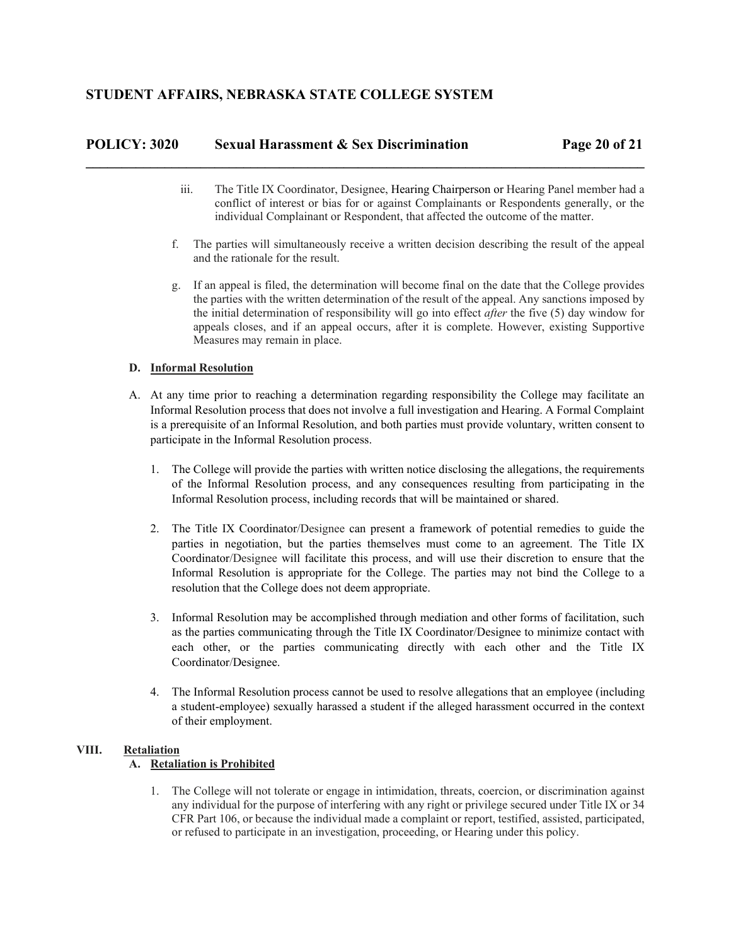# **POLICY: 3020 Sexual Harassment & Sex Discrimination Page 20 of 21 \_\_\_\_\_\_\_\_\_\_\_\_\_\_\_\_\_\_\_\_\_\_\_\_\_\_\_\_\_\_\_\_\_\_\_\_\_\_\_\_\_\_\_\_\_\_\_\_\_\_\_\_\_\_\_\_\_\_\_\_\_\_\_\_\_\_\_\_\_\_\_\_\_\_\_\_\_\_**

- iii. The Title IX Coordinator, Designee, Hearing Chairperson or Hearing Panel member had a conflict of interest or bias for or against Complainants or Respondents generally, or the individual Complainant or Respondent, that affected the outcome of the matter.
- f. The parties will simultaneously receive a written decision describing the result of the appeal and the rationale for the result.
- g. If an appeal is filed, the determination will become final on the date that the College provides the parties with the written determination of the result of the appeal. Any sanctions imposed by the initial determination of responsibility will go into effect *after* the five (5) day window for appeals closes, and if an appeal occurs, after it is complete. However, existing Supportive Measures may remain in place.

## **D. Informal Resolution**

- A. At any time prior to reaching a determination regarding responsibility the College may facilitate an Informal Resolution process that does not involve a full investigation and Hearing. A Formal Complaint is a prerequisite of an Informal Resolution, and both parties must provide voluntary, written consent to participate in the Informal Resolution process.
	- 1. The College will provide the parties with written notice disclosing the allegations, the requirements of the Informal Resolution process, and any consequences resulting from participating in the Informal Resolution process, including records that will be maintained or shared.
	- 2. The Title IX Coordinator/Designee can present a framework of potential remedies to guide the parties in negotiation, but the parties themselves must come to an agreement. The Title IX Coordinator/Designee will facilitate this process, and will use their discretion to ensure that the Informal Resolution is appropriate for the College. The parties may not bind the College to a resolution that the College does not deem appropriate.
	- 3. Informal Resolution may be accomplished through mediation and other forms of facilitation, such as the parties communicating through the Title IX Coordinator/Designee to minimize contact with each other, or the parties communicating directly with each other and the Title IX Coordinator/Designee.
	- 4. The Informal Resolution process cannot be used to resolve allegations that an employee (including a student-employee) sexually harassed a student if the alleged harassment occurred in the context of their employment.

## **VIII. Retaliation**

## **A. Retaliation is Prohibited**

1. The College will not tolerate or engage in intimidation, threats, coercion, or discrimination against any individual for the purpose of interfering with any right or privilege secured under Title IX or 34 CFR Part 106, or because the individual made a complaint or report, testified, assisted, participated, or refused to participate in an investigation, proceeding, or Hearing under this policy.